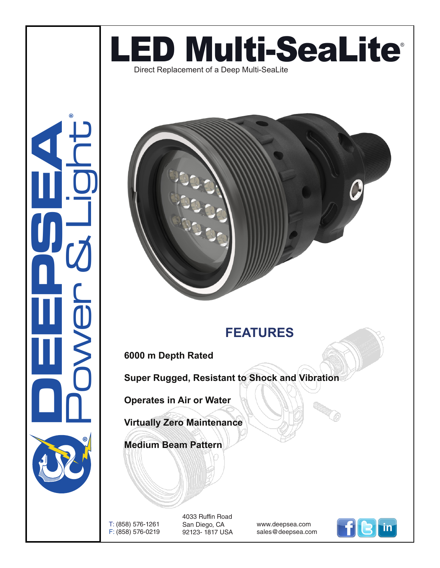

**CONSUMERING** Power & Light ®



## **FEATURES**

**6000 m Depth Rated**

**Super Rugged, Resistant to Shock and Vibration**

**Operates in Air or Water**

**Virtually Zero Maintenance** 

**Medium Beam Pattern**

T: (858) 576-1261 F: (858) 576-0219 4033 Ruffin Road San Diego, CA 92123- 1817 USA

www.deepsea.com sales@deepsea.com